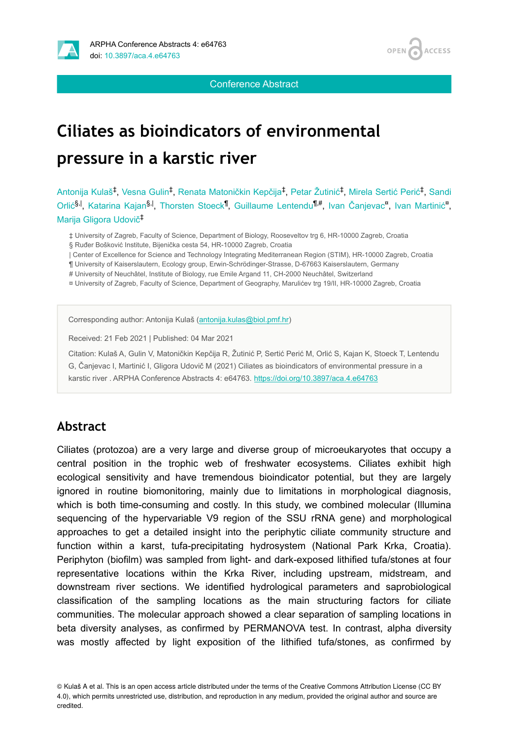



Conference Abstract

# **Ciliates as bioindicators of environmental pressure in a karstic river**

Antonija Kulaš‡, Vesna Gulin<sup>‡</sup>, Renata Matoničkin Kepčija<sup>‡</sup>, Petar Žutinić<sup>‡</sup>, Mirela Sertić Perić<sup>‡</sup>, Sandi Orlić<sup>§, I</sup>, Katarina Kajan<sup>§, I</sup>, Thorsten Stoeck<sup>¶</sup>, Guillaume Lentendu<sup>¶#</sup>, Ivan Čanjevac<sup>a</sup>, Ivan Martinić<sup>a</sup>, Marija Gligora Udovič ‡

‡ University of Zagreb, Faculty of Science, Department of Biology, Rooseveltov trg 6, HR-10000 Zagreb, Croatia § Ruđer Bošković Institute, Bijenička cesta 54, HR-10000 Zagreb, Croatia

| Center of Excellence for Science and Technology Integrating Mediterranean Region (STIM), HR-10000 Zagreb, Croatia

¶ University of Kaiserslautern, Ecology group, Erwin-Schrödinger-Strasse, D-67663 Kaiserslautern, Germany

# University of Neuchâtel, Institute of Biology, rue Emile Argand 11, CH-2000 Neuchâtel, Switzerland

¤ University of Zagreb, Faculty of Science, Department of Geography, Marulićev trg 19/II, HR-10000 Zagreb, Croatia

Corresponding author: Antonija Kulaš [\(antonija.kulas@biol.pmf.hr\)](mailto:antonija.kulas@biol.pmf.hr)

Received: 21 Feb 2021 | Published: 04 Mar 2021

Citation: Kulaš A, Gulin V, Matoničkin Kepčija R, Žutinić P, Sertić Perić M, Orlić S, Kajan K, Stoeck T, Lentendu

G, Čanjevac I, Martinić I, Gligora Udovič M (2021) Ciliates as bioindicators of environmental pressure in a karstic river . ARPHA Conference Abstracts 4: e64763. <https://doi.org/10.3897/aca.4.e64763>

#### **Abstract**

Ciliates (protozoa) are a very large and diverse group of microeukaryotes that occupy a central position in the trophic web of freshwater ecosystems. Ciliates exhibit high ecological sensitivity and have tremendous bioindicator potential, but they are largely ignored in routine biomonitoring, mainly due to limitations in morphological diagnosis, which is both time-consuming and costly. In this study, we combined molecular (Illumina sequencing of the hypervariable V9 region of the SSU rRNA gene) and morphological approaches to get a detailed insight into the periphytic ciliate community structure and function within a karst, tufa-precipitating hydrosystem (National Park Krka, Croatia). Periphyton (biofilm) was sampled from light- and dark-exposed lithified tufa/stones at four representative locations within the Krka River, including upstream, midstream, and downstream river sections. We identified hydrological parameters and saprobiological classification of the sampling locations as the main structuring factors for ciliate communities. The molecular approach showed a clear separation of sampling locations in beta diversity analyses, as confirmed by PERMANOVA test. In contrast, alpha diversity was mostly affected by light exposition of the lithified tufa/stones, as confirmed by

© Kulaš A et al. This is an open access article distributed under the terms of the Creative Commons Attribution License (CC BY 4.0), which permits unrestricted use, distribution, and reproduction in any medium, provided the original author and source are credited.